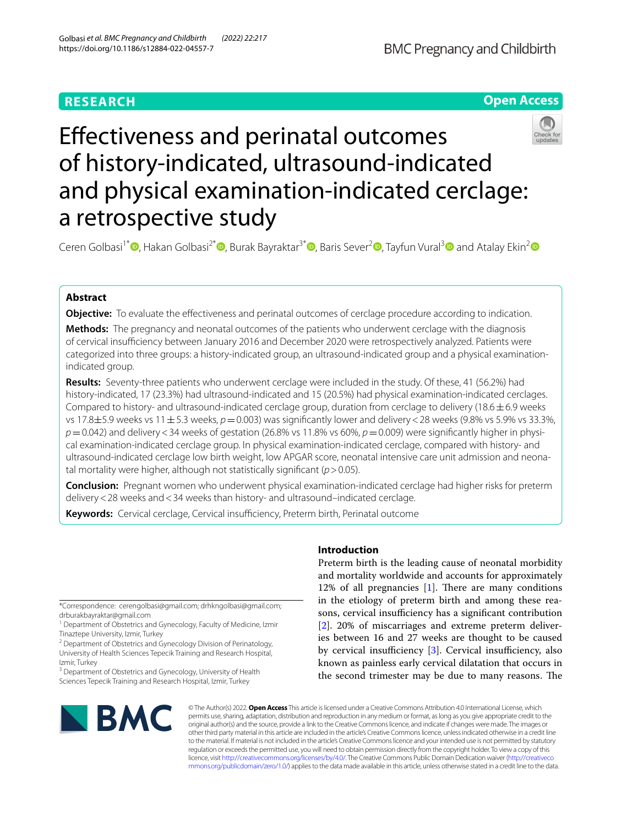## **RESEARCH**



## Efectiveness and perinatal outcomes of history-indicated, ultrasound-indicated and physical examination-indicated cerclage: a retrospective study

Ceren Golbasi<sup>1\*</sup> **D**[,](http://orcid.org/0000-0002-9690-8819) Hakan Golbasi<sup>[2](http://orcid.org/0000-0002-4712-3927)\*</sup> **D**[,](http://orcid.org/0000-0001-6233-4207) Burak Bayraktar<sup>[3](http://orcid.org/0000-0002-7890-7820)\*</sup> **D**, Baris Sever<sup>2</sup> D, Tayfun Vural<sup>3</sup> D and Atalay Ekin<sup>2</sup> D

## **Abstract**

**Objective:** To evaluate the effectiveness and perinatal outcomes of cerclage procedure according to indication.

**Methods:** The pregnancy and neonatal outcomes of the patients who underwent cerclage with the diagnosis of cervical insufficiency between January 2016 and December 2020 were retrospectively analyzed. Patients were categorized into three groups: a history-indicated group, an ultrasound-indicated group and a physical examinationindicated group.

**Results:** Seventy-three patients who underwent cerclage were included in the study. Of these, 41 (56.2%) had history-indicated, 17 (23.3%) had ultrasound-indicated and 15 (20.5%) had physical examination-indicated cerclages. Compared to history- and ultrasound-indicated cerclage group, duration from cerclage to delivery (18.6 $\pm$ 6.9 weeks vs 17.8±5.9 weeks vs 11±5.3 weeks,  $p=0.003$ ) was significantly lower and delivery < 28 weeks (9.8% vs 5.9% vs 33.3%, *p*=0.042) and delivery<34 weeks of gestation (26.8% vs 11.8% vs 60%, *p*=0.009) were signifcantly higher in physical examination-indicated cerclage group. In physical examination-indicated cerclage, compared with history- and ultrasound-indicated cerclage low birth weight, low APGAR score, neonatal intensive care unit admission and neonatal mortality were higher, although not statistically signifcant (*p*>0.05).

**Conclusion:** Pregnant women who underwent physical examination-indicated cerclage had higher risks for preterm delivery<28 weeks and<34 weeks than history- and ultrasound–indicated cerclage.

**Keywords:** Cervical cerclage, Cervical insufficiency, Preterm birth, Perinatal outcome

\*Correspondence: cerengolbasi@gmail.com; drhkngolbasi@gmail.com; drburakbayraktar@gmail.com

<sup>3</sup> Department of Obstetrics and Gynecology, University of Health Sciences Tepecik Training and Research Hospital, Izmir, Turkey

# **BMC**

## **Introduction**

Preterm birth is the leading cause of neonatal morbidity and mortality worldwide and accounts for approximately 12% of all pregnancies  $[1]$  $[1]$ . There are many conditions in the etiology of preterm birth and among these reasons, cervical insufficiency has a significant contribution [[2\]](#page-6-1). 20% of miscarriages and extreme preterm deliveries between 16 and 27 weeks are thought to be caused by cervical insufficiency  $[3]$  $[3]$ . Cervical insufficiency, also known as painless early cervical dilatation that occurs in the second trimester may be due to many reasons. The

© The Author(s) 2022. **Open Access** This article is licensed under a Creative Commons Attribution 4.0 International License, which permits use, sharing, adaptation, distribution and reproduction in any medium or format, as long as you give appropriate credit to the original author(s) and the source, provide a link to the Creative Commons licence, and indicate if changes were made. The images or other third party material in this article are included in the article's Creative Commons licence, unless indicated otherwise in a credit line to the material. If material is not included in the article's Creative Commons licence and your intended use is not permitted by statutory regulation or exceeds the permitted use, you will need to obtain permission directly from the copyright holder. To view a copy of this licence, visit [http://creativecommons.org/licenses/by/4.0/.](http://creativecommons.org/licenses/by/4.0/) The Creative Commons Public Domain Dedication waiver ([http://creativeco](http://creativecommons.org/publicdomain/zero/1.0/) [mmons.org/publicdomain/zero/1.0/](http://creativecommons.org/publicdomain/zero/1.0/)) applies to the data made available in this article, unless otherwise stated in a credit line to the data.

<sup>&</sup>lt;sup>1</sup> Department of Obstetrics and Gynecology, Faculty of Medicine, Izmir Tinaztepe University, Izmir, Turkey

<sup>&</sup>lt;sup>2</sup> Department of Obstetrics and Gynecology Division of Perinatology, University of Health Sciences Tepecik Training and Research Hospital, Izmir, Turkey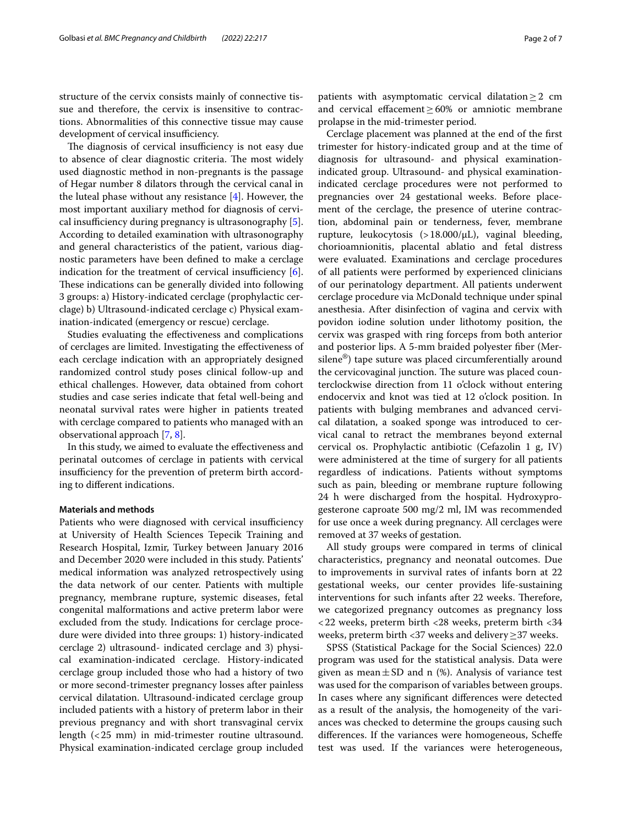structure of the cervix consists mainly of connective tissue and therefore, the cervix is insensitive to contractions. Abnormalities of this connective tissue may cause development of cervical insufficiency.

The diagnosis of cervical insufficiency is not easy due to absence of clear diagnostic criteria. The most widely used diagnostic method in non-pregnants is the passage of Hegar number 8 dilators through the cervical canal in the luteal phase without any resistance  $[4]$  $[4]$ . However, the most important auxiliary method for diagnosis of cervical insufficiency during pregnancy is ultrasonography  $[5]$  $[5]$ . According to detailed examination with ultrasonography and general characteristics of the patient, various diagnostic parameters have been defned to make a cerclage indication for the treatment of cervical insufficiency  $[6]$  $[6]$ . These indications can be generally divided into following 3 groups: a) History-indicated cerclage (prophylactic cerclage) b) Ultrasound-indicated cerclage c) Physical examination-indicated (emergency or rescue) cerclage.

Studies evaluating the efectiveness and complications of cerclages are limited. Investigating the efectiveness of each cerclage indication with an appropriately designed randomized control study poses clinical follow-up and ethical challenges. However, data obtained from cohort studies and case series indicate that fetal well-being and neonatal survival rates were higher in patients treated with cerclage compared to patients who managed with an observational approach [[7,](#page-6-6) [8](#page-6-7)].

In this study, we aimed to evaluate the efectiveness and perinatal outcomes of cerclage in patients with cervical insufficiency for the prevention of preterm birth according to diferent indications.

#### **Materials and methods**

Patients who were diagnosed with cervical insufficiency at University of Health Sciences Tepecik Training and Research Hospital, Izmir, Turkey between January 2016 and December 2020 were included in this study. Patients' medical information was analyzed retrospectively using the data network of our center. Patients with multiple pregnancy, membrane rupture, systemic diseases, fetal congenital malformations and active preterm labor were excluded from the study. Indications for cerclage procedure were divided into three groups: 1) history-indicated cerclage 2) ultrasound- indicated cerclage and 3) physical examination-indicated cerclage. History-indicated cerclage group included those who had a history of two or more second-trimester pregnancy losses after painless cervical dilatation. Ultrasound-indicated cerclage group included patients with a history of preterm labor in their previous pregnancy and with short transvaginal cervix length (<25 mm) in mid-trimester routine ultrasound. Physical examination-indicated cerclage group included patients with asymptomatic cervical dilatation  $\geq$  2 cm and cervical efacement≥60% or amniotic membrane prolapse in the mid-trimester period.

Cerclage placement was planned at the end of the frst trimester for history-indicated group and at the time of diagnosis for ultrasound- and physical examinationindicated group. Ultrasound- and physical examinationindicated cerclage procedures were not performed to pregnancies over 24 gestational weeks. Before placement of the cerclage, the presence of uterine contraction, abdominal pain or tenderness, fever, membrane rupture, leukocytosis (>18.000/µL), vaginal bleeding, chorioamnionitis, placental ablatio and fetal distress were evaluated. Examinations and cerclage procedures of all patients were performed by experienced clinicians of our perinatology department. All patients underwent cerclage procedure via McDonald technique under spinal anesthesia. After disinfection of vagina and cervix with povidon iodine solution under lithotomy position, the cervix was grasped with ring forceps from both anterior and posterior lips. A 5-mm braided polyester fber (Mersilene®) tape suture was placed circumferentially around the cervicovaginal junction. The suture was placed counterclockwise direction from 11 o'clock without entering endocervix and knot was tied at 12 o'clock position. In patients with bulging membranes and advanced cervical dilatation, a soaked sponge was introduced to cervical canal to retract the membranes beyond external cervical os. Prophylactic antibiotic (Cefazolin 1 g, IV) were administered at the time of surgery for all patients regardless of indications. Patients without symptoms such as pain, bleeding or membrane rupture following 24 h were discharged from the hospital. Hydroxyprogesterone caproate 500 mg/2 ml, IM was recommended for use once a week during pregnancy. All cerclages were removed at 37 weeks of gestation.

All study groups were compared in terms of clinical characteristics, pregnancy and neonatal outcomes. Due to improvements in survival rates of infants born at 22 gestational weeks, our center provides life-sustaining interventions for such infants after 22 weeks. Therefore, we categorized pregnancy outcomes as pregnancy loss <22 weeks, preterm birth <28 weeks, preterm birth <34 weeks, preterm birth <37 weeks and delivery≥37 weeks.

SPSS (Statistical Package for the Social Sciences) 22.0 program was used for the statistical analysis. Data were given as mean  $\pm$  SD and n (%). Analysis of variance test was used for the comparison of variables between groups. In cases where any signifcant diferences were detected as a result of the analysis, the homogeneity of the variances was checked to determine the groups causing such diferences. If the variances were homogeneous, Schefe test was used. If the variances were heterogeneous,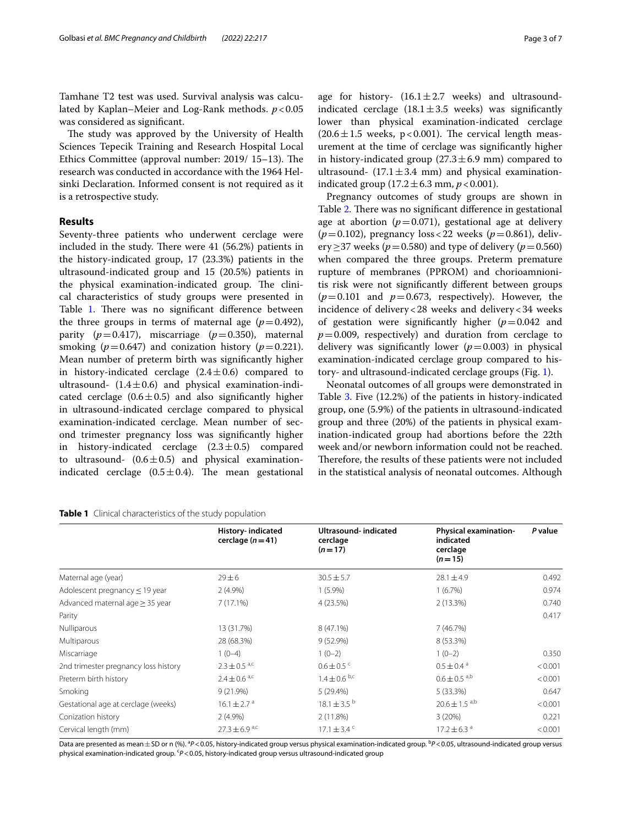Tamhane T2 test was used. Survival analysis was calculated by Kaplan–Meier and Log-Rank methods. *p*<0.05 was considered as signifcant.

The study was approved by the University of Health Sciences Tepecik Training and Research Hospital Local Ethics Committee (approval number: 2019/ 15–13). The research was conducted in accordance with the 1964 Helsinki Declaration. Informed consent is not required as it is a retrospective study.

#### **Results**

Seventy-three patients who underwent cerclage were included in the study. There were  $41$  (56.2%) patients in the history-indicated group, 17 (23.3%) patients in the ultrasound-indicated group and 15 (20.5%) patients in the physical examination-indicated group. The clinical characteristics of study groups were presented in Table [1](#page-2-0). There was no significant difference between the three groups in terms of maternal age  $(p=0.492)$ , parity  $(p=0.417)$ , miscarriage  $(p=0.350)$ , maternal smoking ( $p=0.647$ ) and conization history ( $p=0.221$ ). Mean number of preterm birth was signifcantly higher in history-indicated cerclage  $(2.4 \pm 0.6)$  compared to ultrasound-  $(1.4 \pm 0.6)$  and physical examination-indicated cerclage  $(0.6 \pm 0.5)$  and also significantly higher in ultrasound-indicated cerclage compared to physical examination-indicated cerclage. Mean number of second trimester pregnancy loss was signifcantly higher in history-indicated cerclage  $(2.3\pm0.5)$  compared to ultrasound-  $(0.6 \pm 0.5)$  and physical examinationindicated cerclage  $(0.5 \pm 0.4)$ . The mean gestational

<span id="page-2-0"></span>

| Table 1 Clinical characteristics of the study population |  |
|----------------------------------------------------------|--|
|----------------------------------------------------------|--|

| cerclage $(n=41)$             | cerclage<br>$(n=17)$        | indicated<br>cerclage<br>$(n=15)$ |         |
|-------------------------------|-----------------------------|-----------------------------------|---------|
| $29 \pm 6$                    | $30.5 \pm 5.7$              | $28.1 \pm 4.9$                    | 0.492   |
| $2(4.9\%)$                    | $1(5.9\%)$                  | 1(6.7%)                           | 0.974   |
| 7(17.1%)                      | 4 (23.5%)                   | $2(13.3\%)$                       | 0.740   |
|                               |                             |                                   | 0.417   |
| 13 (31.7%)                    | $8(47.1\%)$                 | 7(46.7%)                          |         |
| 28 (68.3%)                    | 9 (52.9%)                   | 8 (53.3%)                         |         |
| $1(0-4)$                      | $1(0-2)$                    | $1(0-2)$                          | 0.35C   |
| $2.3 \pm 0.5$ <sup>a,c</sup>  | $0.6 \pm 0.5$ c             | $0.5 \pm 0.4$ <sup>a</sup>        | < 0.001 |
| $2.4 \pm 0.6$ <sup>a,c</sup>  | $1.4 \pm 0.6$ b,c           | $0.6 \pm 0.5$ <sup>a,b</sup>      | < 0.001 |
| 9(21.9%)                      | 5(29.4%)                    | 5 (33.3%)                         | 0.647   |
| $16.1 \pm 2.7$ <sup>a</sup>   | $18.1 \pm 3.5^{b}$          | $20.6 \pm 1.5$ <sup>a,b</sup>     | < 0.001 |
| $2(4.9\%)$                    | 2(11.8%)                    | 3(20%)                            | 0.221   |
| $27.3 \pm 6.9$ <sup>a,c</sup> | $17.1 \pm 3.4$ <sup>c</sup> | $17.2 \pm 6.3$ <sup>a</sup>       | < 0.001 |
|                               |                             |                                   |         |

**Ultrasound- indicated**

**History- indicated** 

Data are presented as mean $\pm$ SD or n (%). <sup>a</sup>P<0.05, history-indicated group versus physical examination-indicated group. <sup>b</sup>P<0.05, ultrasound-indicated group versus physical examination-indicated group. <sup>c</sup>P<0.05, history-indicated group versus ultrasound-indicated group

age for history-  $(16.1 \pm 2.7$  weeks) and ultrasoundindicated cerclage  $(18.1 \pm 3.5$  weeks) was significantly lower than physical examination-indicated cerclage  $(20.6 \pm 1.5$  weeks, p<0.001). The cervical length measurement at the time of cerclage was signifcantly higher in history-indicated group  $(27.3 \pm 6.9 \text{ mm})$  compared to ultrasound-  $(17.1 \pm 3.4 \text{ mm})$  and physical examinationindicated group  $(17.2 \pm 6.3 \text{ mm}, p < 0.001)$ .

Pregnancy outcomes of study groups are shown in Table [2](#page-3-0). There was no significant difference in gestational age at abortion  $(p=0.071)$ , gestational age at delivery  $(p=0.102)$ , pregnancy loss < 22 weeks  $(p=0.861)$ , delivery>37 weeks ( $p=0.580$ ) and type of delivery ( $p=0.560$ ) when compared the three groups. Preterm premature rupture of membranes (PPROM) and chorioamnionitis risk were not signifcantly diferent between groups  $(p=0.101$  and  $p=0.673$ , respectively). However, the incidence of delivery<28 weeks and delivery<34 weeks of gestation were signifcantly higher (*p*=0.042 and  $p=0.009$ , respectively) and duration from cerclage to delivery was signifcantly lower (*p*=0.003) in physical examination-indicated cerclage group compared to history- and ultrasound-indicated cerclage groups (Fig. [1\)](#page-3-1).

Neonatal outcomes of all groups were demonstrated in Table [3](#page-4-0). Five (12.2%) of the patients in history-indicated group, one (5.9%) of the patients in ultrasound-indicated group and three (20%) of the patients in physical examination-indicated group had abortions before the 22th week and/or newborn information could not be reached. Therefore, the results of these patients were not included in the statistical analysis of neonatal outcomes. Although

**Physical examination-**

*P* **value**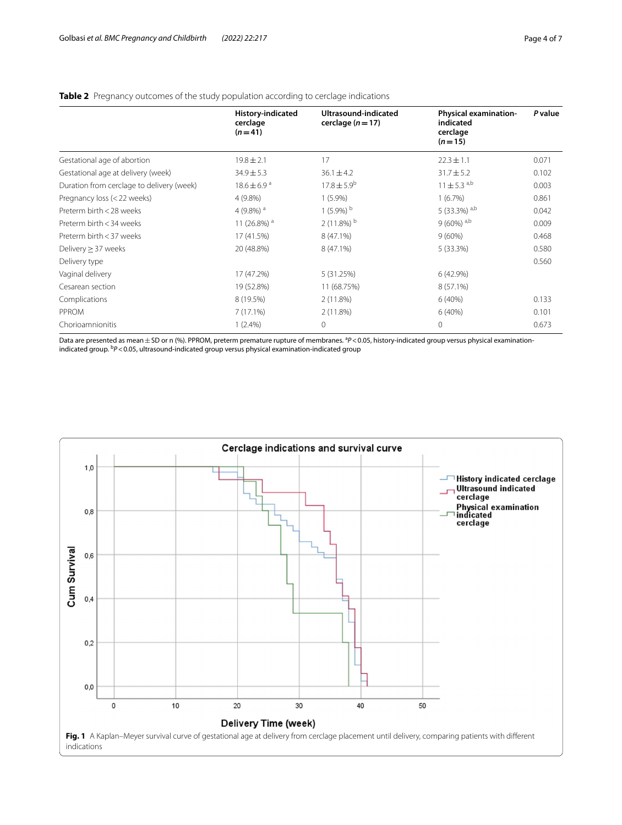### <span id="page-3-0"></span>**Table 2** Pregnancy outcomes of the study population according to cerclage indications

|                                           | <b>History-indicated</b><br>cerclage<br>$(n=41)$ | Ultrasound-indicated<br>cerclage $(n=17)$ | <b>Physical examination-</b><br>indicated<br>cerclage<br>$(n=15)$ | P value |
|-------------------------------------------|--------------------------------------------------|-------------------------------------------|-------------------------------------------------------------------|---------|
| Gestational age of abortion               | $19.8 \pm 2.1$                                   | 17                                        | $22.3 \pm 1.1$                                                    | 0.071   |
| Gestational age at delivery (week)        | $34.9 \pm 5.3$                                   | $36.1 \pm 4.2$                            | $31.7 \pm 5.2$                                                    | 0.102   |
| Duration from cerclage to delivery (week) | $18.6 \pm 6.9^{\text{a}}$                        | $17.8 \pm 5.9^b$                          | $11 \pm 5.3$ <sup>a,b</sup>                                       | 0.003   |
| Pregnancy loss (< 22 weeks)               | $4(9.8\%)$                                       | $1(5.9\%)$                                | 1(6.7%)                                                           | 0.861   |
| Preterm birth < 28 weeks                  | 4 (9.8%) $a$                                     | 1 $(5.9\%)$ <sup>b</sup>                  | 5 (33.3%) $a,b$                                                   | 0.042   |
| Preterm birth < 34 weeks                  | 11 (26.8%) <sup>a</sup>                          | 2 (11.8%) $^{\rm b}$                      | $9(60\%)$ <sup>a,b</sup>                                          | 0.009   |
| Preterm birth < 37 weeks                  | 17 (41.5%)                                       | 8 (47.1%)                                 | $9(60\%)$                                                         | 0.468   |
| Delivery $\geq$ 37 weeks                  | 20 (48.8%)                                       | 8 (47.1%)                                 | $5(33.3\%)$                                                       | 0.580   |
| Delivery type                             |                                                  |                                           |                                                                   | 0.560   |
| Vaginal delivery                          | 17 (47.2%)                                       | 5 (31.25%)                                | 6(42.9%)                                                          |         |
| Cesarean section                          | 19 (52.8%)                                       | 11 (68.75%)                               | 8 (57.1%)                                                         |         |
| Complications                             | 8 (19.5%)                                        | 2(11.8%)                                  | 6(40%)                                                            | 0.133   |
| PPROM                                     | $7(17.1\%)$                                      | 2(11.8%)                                  | 6(40%)                                                            | 0.101   |
| Chorioamnionitis                          | $1(2.4\%)$                                       | $\circ$                                   | 0                                                                 | 0.673   |

Data are presented as mean ± SD or n (%). PPROM, preterm premature rupture of membranes. <sup>a</sup>P<0.05, history-indicated group versus physical examinationindicated group. <sup>b</sup>P < 0.05, ultrasound-indicated group versus physical examination-indicated group

<span id="page-3-1"></span>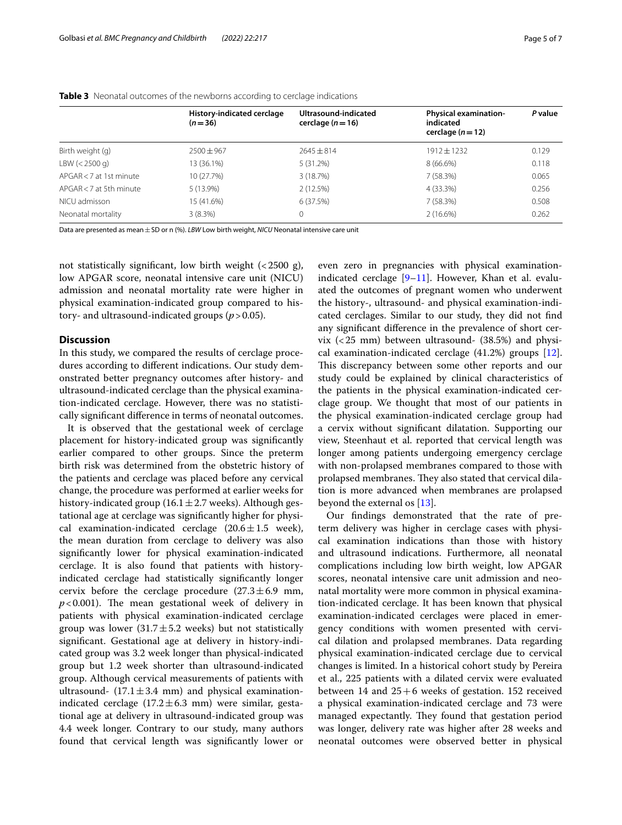|                         | History-indicated cerclage<br>$(n=36)$ | Ultrasound-indicated<br>cerclage $(n=16)$ | <b>Physical examination-</b><br>indicated<br>cerclage $(n=12)$ | P value |
|-------------------------|----------------------------------------|-------------------------------------------|----------------------------------------------------------------|---------|
| Birth weight (g)        | $2500 \pm 967$                         | $7645 + 814$                              | $1912 \pm 1232$                                                | 0.129   |
| LBW (< 2500 q)          | 13 (36.1%)                             | 5(31.2%)                                  | $8(66.6\%)$                                                    | 0.118   |
| APGAR < 7 at 1st minute | 10 (27.7%)                             | 3(18.7%)                                  | 7 (58.3%)                                                      | 0.065   |
| APGAR < 7 at 5th minute | 5 (13.9%)                              | 2(12.5%)                                  | 4 (33.3%)                                                      | 0.256   |
| NICU admisson           | 15 (41.6%)                             | 6(37.5%)                                  | 7(58.3%)                                                       | 0.508   |
| Neonatal mortality      | $3(8.3\%)$                             | 0                                         | 2(16.6%)                                                       | 0.262   |

#### <span id="page-4-0"></span>**Table 3** Neonatal outcomes of the newborns according to cerclage indications

Data are presented as mean  $\pm$  SD or n (%). *LBW* Low birth weight, *NICU* Neonatal intensive care unit

not statistically significant, low birth weight  $\left($  < 2500 g), low APGAR score, neonatal intensive care unit (NICU) admission and neonatal mortality rate were higher in physical examination-indicated group compared to history- and ultrasound-indicated groups (*p*>0.05).

#### **Discussion**

In this study, we compared the results of cerclage procedures according to diferent indications. Our study demonstrated better pregnancy outcomes after history- and ultrasound-indicated cerclage than the physical examination-indicated cerclage. However, there was no statistically signifcant diference in terms of neonatal outcomes.

It is observed that the gestational week of cerclage placement for history-indicated group was signifcantly earlier compared to other groups. Since the preterm birth risk was determined from the obstetric history of the patients and cerclage was placed before any cervical change, the procedure was performed at earlier weeks for history-indicated group (16.1 $\pm$ 2.7 weeks). Although gestational age at cerclage was signifcantly higher for physical examination-indicated cerclage  $(20.6 \pm 1.5 \text{ week})$ , the mean duration from cerclage to delivery was also signifcantly lower for physical examination-indicated cerclage. It is also found that patients with historyindicated cerclage had statistically signifcantly longer cervix before the cerclage procedure  $(27.3 \pm 6.9 \text{ mm})$ ,  $p$ <0.001). The mean gestational week of delivery in patients with physical examination-indicated cerclage group was lower  $(31.7 \pm 5.2$  weeks) but not statistically signifcant. Gestational age at delivery in history-indicated group was 3.2 week longer than physical-indicated group but 1.2 week shorter than ultrasound-indicated group. Although cervical measurements of patients with ultrasound-  $(17.1 \pm 3.4 \text{ mm})$  and physical examinationindicated cerclage  $(17.2 \pm 6.3 \text{ mm})$  were similar, gestational age at delivery in ultrasound-indicated group was 4.4 week longer. Contrary to our study, many authors found that cervical length was signifcantly lower or even zero in pregnancies with physical examinationindicated cerclage [[9–](#page-6-8)[11](#page-6-9)]. However, Khan et al. evaluated the outcomes of pregnant women who underwent the history-, ultrasound- and physical examination-indicated cerclages. Similar to our study, they did not fnd any signifcant diference in the prevalence of short cervix  $( $25 \text{ mm}$ ) between ultrasound-  $(38.5\%)$  and physi$ cal examination-indicated cerclage (41.2%) groups [\[12](#page-6-10)]. This discrepancy between some other reports and our study could be explained by clinical characteristics of the patients in the physical examination-indicated cerclage group. We thought that most of our patients in the physical examination-indicated cerclage group had a cervix without signifcant dilatation. Supporting our view, Steenhaut et al. reported that cervical length was longer among patients undergoing emergency cerclage with non-prolapsed membranes compared to those with prolapsed membranes. They also stated that cervical dilation is more advanced when membranes are prolapsed beyond the external os [[13](#page-6-11)].

Our fndings demonstrated that the rate of preterm delivery was higher in cerclage cases with physical examination indications than those with history and ultrasound indications. Furthermore, all neonatal complications including low birth weight, low APGAR scores, neonatal intensive care unit admission and neonatal mortality were more common in physical examination-indicated cerclage. It has been known that physical examination-indicated cerclages were placed in emergency conditions with women presented with cervical dilation and prolapsed membranes. Data regarding physical examination-indicated cerclage due to cervical changes is limited. In a historical cohort study by Pereira et al., 225 patients with a dilated cervix were evaluated between 14 and  $25+6$  weeks of gestation. 152 received a physical examination-indicated cerclage and 73 were managed expectantly. They found that gestation period was longer, delivery rate was higher after 28 weeks and neonatal outcomes were observed better in physical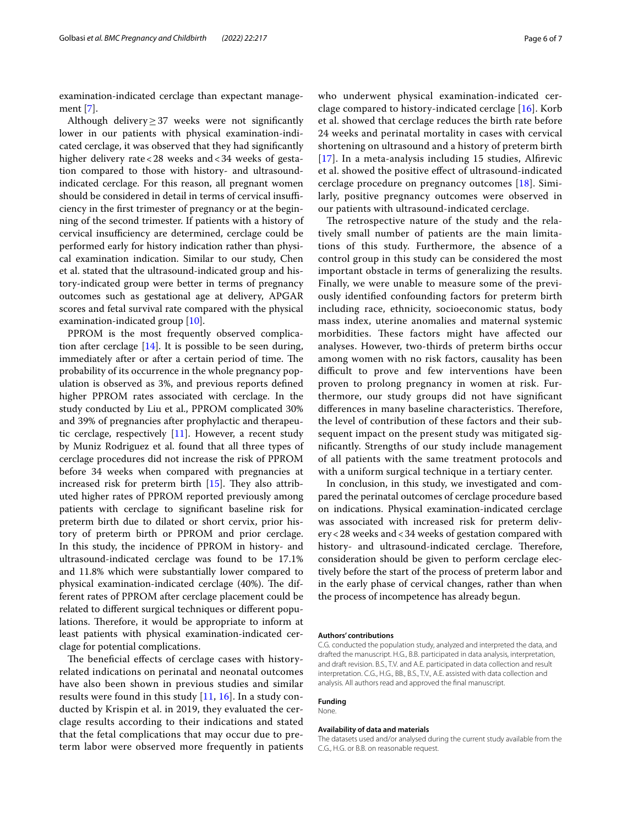examination-indicated cerclage than expectant management [\[7](#page-6-6)].

Although delivery≥37 weeks were not signifcantly lower in our patients with physical examination-indicated cerclage, it was observed that they had signifcantly higher delivery rate <28 weeks and <34 weeks of gestation compared to those with history- and ultrasoundindicated cerclage. For this reason, all pregnant women should be considered in detail in terms of cervical insufficiency in the frst trimester of pregnancy or at the beginning of the second trimester. If patients with a history of cervical insufficiency are determined, cerclage could be performed early for history indication rather than physical examination indication. Similar to our study, Chen et al. stated that the ultrasound-indicated group and history-indicated group were better in terms of pregnancy outcomes such as gestational age at delivery, APGAR scores and fetal survival rate compared with the physical examination-indicated group [\[10\]](#page-6-12).

PPROM is the most frequently observed complication after cerclage [[14\]](#page-6-13). It is possible to be seen during, immediately after or after a certain period of time. The probability of its occurrence in the whole pregnancy population is observed as 3%, and previous reports defned higher PPROM rates associated with cerclage. In the study conducted by Liu et al., PPROM complicated 30% and 39% of pregnancies after prophylactic and therapeutic cerclage, respectively [\[11\]](#page-6-9). However, a recent study by Muniz Rodriguez et al. found that all three types of cerclage procedures did not increase the risk of PPROM before 34 weeks when compared with pregnancies at increased risk for preterm birth  $[15]$  $[15]$ . They also attributed higher rates of PPROM reported previously among patients with cerclage to signifcant baseline risk for preterm birth due to dilated or short cervix, prior history of preterm birth or PPROM and prior cerclage. In this study, the incidence of PPROM in history- and ultrasound-indicated cerclage was found to be 17.1% and 11.8% which were substantially lower compared to physical examination-indicated cerclage (40%). The different rates of PPROM after cerclage placement could be related to diferent surgical techniques or diferent populations. Therefore, it would be appropriate to inform at least patients with physical examination-indicated cerclage for potential complications.

The beneficial effects of cerclage cases with historyrelated indications on perinatal and neonatal outcomes have also been shown in previous studies and similar results were found in this study  $[11, 16]$  $[11, 16]$  $[11, 16]$ . In a study conducted by Krispin et al. in 2019, they evaluated the cerclage results according to their indications and stated that the fetal complications that may occur due to preterm labor were observed more frequently in patients who underwent physical examination-indicated cerclage compared to history-indicated cerclage [\[16](#page-6-15)]. Korb et al. showed that cerclage reduces the birth rate before 24 weeks and perinatal mortality in cases with cervical shortening on ultrasound and a history of preterm birth [[17](#page-6-16)]. In a meta-analysis including 15 studies, Alfrevic et al. showed the positive efect of ultrasound-indicated cerclage procedure on pregnancy outcomes [[18](#page-6-17)]. Similarly, positive pregnancy outcomes were observed in our patients with ultrasound-indicated cerclage.

The retrospective nature of the study and the relatively small number of patients are the main limitations of this study. Furthermore, the absence of a control group in this study can be considered the most important obstacle in terms of generalizing the results. Finally, we were unable to measure some of the previously identifed confounding factors for preterm birth including race, ethnicity, socioeconomic status, body mass index, uterine anomalies and maternal systemic morbidities. These factors might have affected our analyses. However, two-thirds of preterm births occur among women with no risk factors, causality has been difficult to prove and few interventions have been proven to prolong pregnancy in women at risk. Furthermore, our study groups did not have signifcant differences in many baseline characteristics. Therefore, the level of contribution of these factors and their subsequent impact on the present study was mitigated signifcantly. Strengths of our study include management of all patients with the same treatment protocols and with a uniform surgical technique in a tertiary center.

In conclusion, in this study, we investigated and compared the perinatal outcomes of cerclage procedure based on indications. Physical examination-indicated cerclage was associated with increased risk for preterm delivery<28 weeks and<34 weeks of gestation compared with history- and ultrasound-indicated cerclage. Therefore, consideration should be given to perform cerclage electively before the start of the process of preterm labor and in the early phase of cervical changes, rather than when the process of incompetence has already begun.

#### **Authors' contributions**

C.G. conducted the population study, analyzed and interpreted the data, and drafted the manuscript. H.G., B.B. participated in data analysis, interpretation, and draft revision. B.S., T.V. and A.E. participated in data collection and result interpretation. C.G., H.G., BB., B.S., T.V., A.E. assisted with data collection and analysis. All authors read and approved the fnal manuscript.

#### **Funding**

None.

#### **Availability of data and materials**

The datasets used and/or analysed during the current study available from the C.G., H.G. or B.B. on reasonable request.